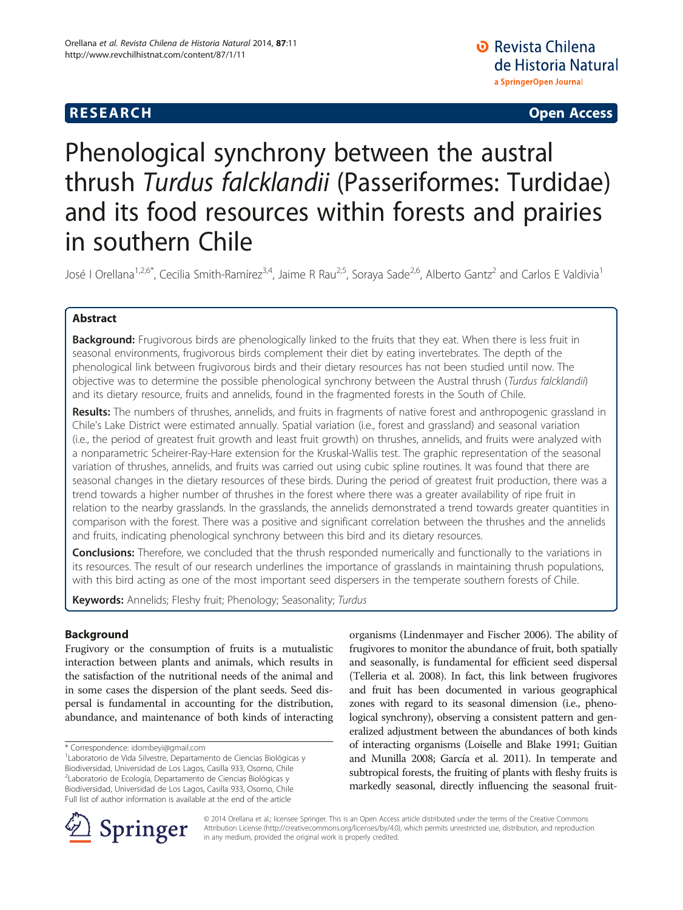## **RESEARCH CHINESE ARCH CHINESE ARCH CHINESE ARCH <b>CHINESE ARCH**

# Phenological synchrony between the austral thrush Turdus falcklandii (Passeriformes: Turdidae) and its food resources within forests and prairies in southern Chile

José I Orellana<sup>1,2,6\*</sup>, Cecilia Smith-Ramírez<sup>3,4</sup>, Jaime R Rau<sup>2,5</sup>, Soraya Sade<sup>2,6</sup>, Alberto Gantz<sup>2</sup> and Carlos E Valdivia<sup>1</sup>

## Abstract

**Background:** Frugivorous birds are phenologically linked to the fruits that they eat. When there is less fruit in seasonal environments, frugivorous birds complement their diet by eating invertebrates. The depth of the phenological link between frugivorous birds and their dietary resources has not been studied until now. The objective was to determine the possible phenological synchrony between the Austral thrush (Turdus falcklandii) and its dietary resource, fruits and annelids, found in the fragmented forests in the South of Chile.

Results: The numbers of thrushes, annelids, and fruits in fragments of native forest and anthropogenic grassland in Chile's Lake District were estimated annually. Spatial variation (i.e., forest and grassland) and seasonal variation (i.e., the period of greatest fruit growth and least fruit growth) on thrushes, annelids, and fruits were analyzed with a nonparametric Scheirer-Ray-Hare extension for the Kruskal-Wallis test. The graphic representation of the seasonal variation of thrushes, annelids, and fruits was carried out using cubic spline routines. It was found that there are seasonal changes in the dietary resources of these birds. During the period of greatest fruit production, there was a trend towards a higher number of thrushes in the forest where there was a greater availability of ripe fruit in relation to the nearby grasslands. In the grasslands, the annelids demonstrated a trend towards greater quantities in comparison with the forest. There was a positive and significant correlation between the thrushes and the annelids and fruits, indicating phenological synchrony between this bird and its dietary resources.

**Conclusions:** Therefore, we concluded that the thrush responded numerically and functionally to the variations in its resources. The result of our research underlines the importance of grasslands in maintaining thrush populations, with this bird acting as one of the most important seed dispersers in the temperate southern forests of Chile.

Keywords: Annelids; Fleshy fruit; Phenology; Seasonality; Turdus

## Background

Frugivory or the consumption of fruits is a mutualistic interaction between plants and animals, which results in the satisfaction of the nutritional needs of the animal and in some cases the dispersion of the plant seeds. Seed dispersal is fundamental in accounting for the distribution, abundance, and maintenance of both kinds of interacting

organisms (Lindenmayer and Fischer [2006](#page-7-0)). The ability of frugivores to monitor the abundance of fruit, both spatially and seasonally, is fundamental for efficient seed dispersal (Telleria et al. [2008](#page-7-0)). In fact, this link between frugivores and fruit has been documented in various geographical zones with regard to its seasonal dimension (i.e., phenological synchrony), observing a consistent pattern and generalized adjustment between the abundances of both kinds of interacting organisms (Loiselle and Blake [1991](#page-7-0); Guitian and Munilla [2008;](#page-7-0) García et al. [2011\)](#page-6-0). In temperate and subtropical forests, the fruiting of plants with fleshy fruits is markedly seasonal, directly influencing the seasonal fruit-



© 2014 Orellana et al.; licensee Springer. This is an Open Access article distributed under the terms of the Creative Commons Attribution License [\(http://creativecommons.org/licenses/by/4.0\)](http://creativecommons.org/licenses/by/4.0), which permits unrestricted use, distribution, and reproduction in any medium, provided the original work is properly credited.

<sup>\*</sup> Correspondence: [idombeyi@gmail.com](mailto:idombeyi@gmail.com) <sup>1</sup>

<sup>&</sup>lt;sup>1</sup> Laboratorio de Vida Silvestre, Departamento de Ciencias Biológicas y Biodiversidad, Universidad de Los Lagos, Casilla 933, Osorno, Chile 2 Laboratorio de Ecología, Departamento de Ciencias Biológicas y Biodiversidad, Universidad de Los Lagos, Casilla 933, Osorno, Chile Full list of author information is available at the end of the article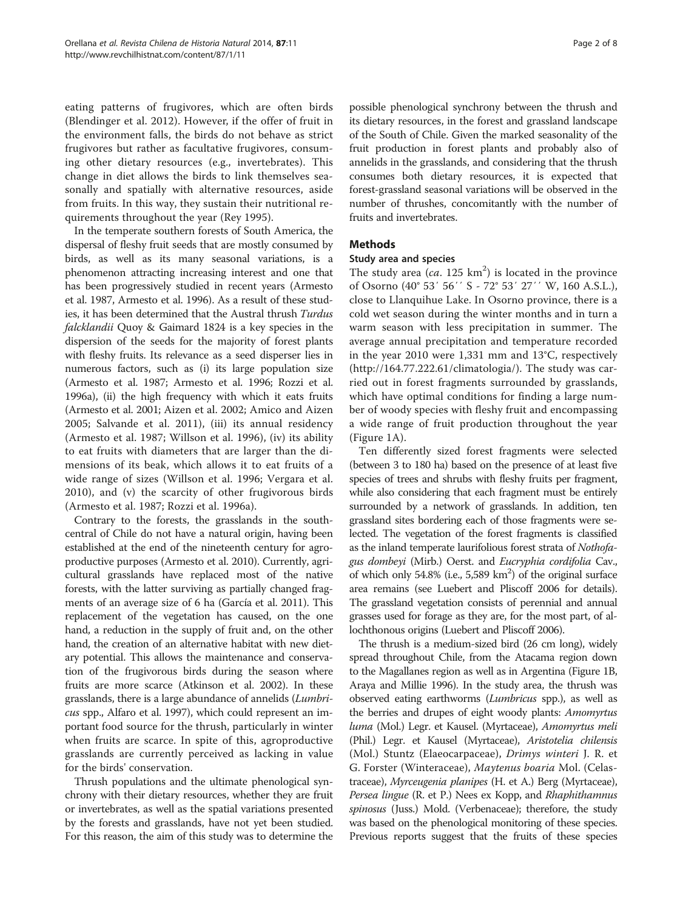eating patterns of frugivores, which are often birds (Blendinger et al. [2012\)](#page-6-0). However, if the offer of fruit in the environment falls, the birds do not behave as strict frugivores but rather as facultative frugivores, consuming other dietary resources (e.g., invertebrates). This change in diet allows the birds to link themselves seasonally and spatially with alternative resources, aside from fruits. In this way, they sustain their nutritional requirements throughout the year (Rey [1995](#page-7-0)).

In the temperate southern forests of South America, the dispersal of fleshy fruit seeds that are mostly consumed by birds, as well as its many seasonal variations, is a phenomenon attracting increasing interest and one that has been progressively studied in recent years (Armesto et al. [1987,](#page-6-0) Armesto et al. [1996\)](#page-6-0). As a result of these studies, it has been determined that the Austral thrush Turdus falcklandii Quoy & Gaimard 1824 is a key species in the dispersion of the seeds for the majority of forest plants with fleshy fruits. Its relevance as a seed disperser lies in numerous factors, such as (i) its large population size (Armesto et al. [1987](#page-6-0); Armesto et al. [1996;](#page-6-0) Rozzi et al. [1996a](#page-7-0)), (ii) the high frequency with which it eats fruits (Armesto et al. [2001](#page-6-0); Aizen et al. [2002;](#page-6-0) Amico and Aizen [2005;](#page-6-0) Salvande et al. [2011](#page-7-0)), (iii) its annual residency (Armesto et al. [1987](#page-6-0); Willson et al. [1996\)](#page-7-0), (iv) its ability to eat fruits with diameters that are larger than the dimensions of its beak, which allows it to eat fruits of a wide range of sizes (Willson et al. [1996;](#page-7-0) Vergara et al. [2010\)](#page-7-0), and (v) the scarcity of other frugivorous birds (Armesto et al. [1987](#page-6-0); Rozzi et al. [1996a](#page-7-0)).

Contrary to the forests, the grasslands in the southcentral of Chile do not have a natural origin, having been established at the end of the nineteenth century for agroproductive purposes (Armesto et al. [2010](#page-6-0)). Currently, agricultural grasslands have replaced most of the native forests, with the latter surviving as partially changed fragments of an average size of 6 ha (García et al. [2011](#page-6-0)). This replacement of the vegetation has caused, on the one hand, a reduction in the supply of fruit and, on the other hand, the creation of an alternative habitat with new dietary potential. This allows the maintenance and conservation of the frugivorous birds during the season where fruits are more scarce (Atkinson et al. [2002](#page-6-0)). In these grasslands, there is a large abundance of annelids (Lumbricus spp., Alfaro et al. [1997](#page-6-0)), which could represent an important food source for the thrush, particularly in winter when fruits are scarce. In spite of this, agroproductive grasslands are currently perceived as lacking in value for the birds' conservation.

Thrush populations and the ultimate phenological synchrony with their dietary resources, whether they are fruit or invertebrates, as well as the spatial variations presented by the forests and grasslands, have not yet been studied. For this reason, the aim of this study was to determine the possible phenological synchrony between the thrush and its dietary resources, in the forest and grassland landscape of the South of Chile. Given the marked seasonality of the fruit production in forest plants and probably also of annelids in the grasslands, and considering that the thrush consumes both dietary resources, it is expected that forest-grassland seasonal variations will be observed in the number of thrushes, concomitantly with the number of fruits and invertebrates.

## Methods

## Study area and species

The study area  $(ca. 125 km<sup>2</sup>)$  is located in the province of Osorno (40° 53′ 56′′ S - 72° 53′ 27′′ W, 160 A.S.L.), close to Llanquihue Lake. In Osorno province, there is a cold wet season during the winter months and in turn a warm season with less precipitation in summer. The average annual precipitation and temperature recorded in the year 2010 were 1,331 mm and 13°C, respectively ([http://164.77.222.61/climatologia/\)](http://164.77.222.61/climatologia/). The study was carried out in forest fragments surrounded by grasslands, which have optimal conditions for finding a large number of woody species with fleshy fruit and encompassing a wide range of fruit production throughout the year (Figure [1](#page-2-0)A).

Ten differently sized forest fragments were selected (between 3 to 180 ha) based on the presence of at least five species of trees and shrubs with fleshy fruits per fragment, while also considering that each fragment must be entirely surrounded by a network of grasslands. In addition, ten grassland sites bordering each of those fragments were selected. The vegetation of the forest fragments is classified as the inland temperate laurifolious forest strata of Nothofagus dombeyi (Mirb.) Oerst. and Eucryphia cordifolia Cav., of which only 54.8% (i.e., 5,589 km<sup>2</sup>) of the original surface area remains (see Luebert and Pliscoff [2006](#page-7-0) for details). The grassland vegetation consists of perennial and annual grasses used for forage as they are, for the most part, of allochthonous origins (Luebert and Pliscoff [2006\)](#page-7-0).

The thrush is a medium-sized bird (26 cm long), widely spread throughout Chile, from the Atacama region down to the Magallanes region as well as in Argentina (Figure [1B](#page-2-0), Araya and Millie [1996\)](#page-6-0). In the study area, the thrush was observed eating earthworms (Lumbricus spp.), as well as the berries and drupes of eight woody plants: Amomyrtus luma (Mol.) Legr. et Kausel. (Myrtaceae), Amomyrtus meli (Phil.) Legr. et Kausel (Myrtaceae), Aristotelia chilensis (Mol.) Stuntz (Elaeocarpaceae), Drimys winteri J. R. et G. Forster (Winteraceae), Maytenus boaria Mol. (Celastraceae), Myrceugenia planipes (H. et A.) Berg (Myrtaceae), Persea lingue (R. et P.) Nees ex Kopp, and Rhaphithamnus spinosus (Juss.) Mold. (Verbenaceae); therefore, the study was based on the phenological monitoring of these species. Previous reports suggest that the fruits of these species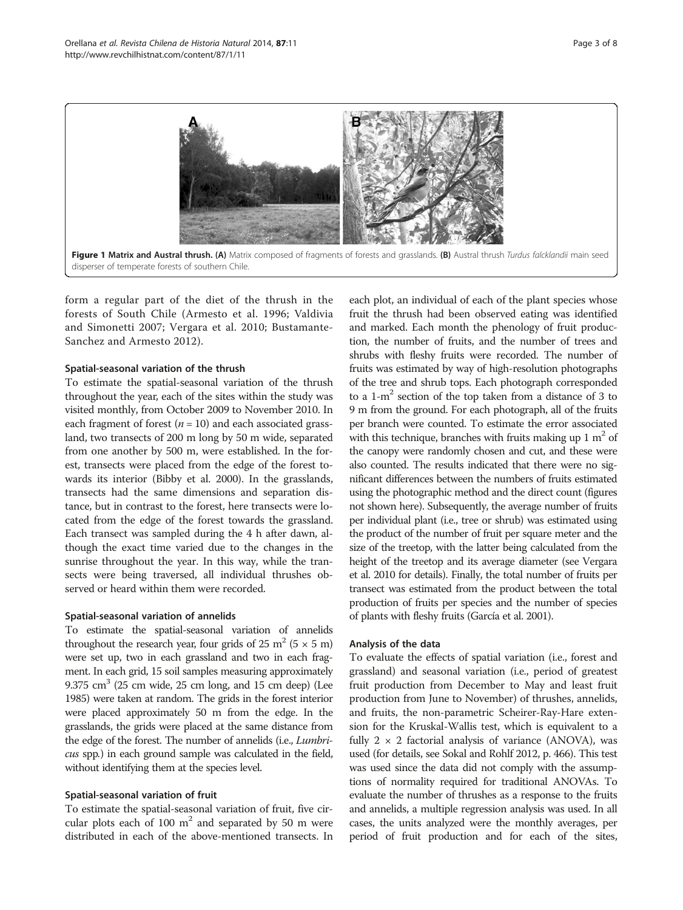<span id="page-2-0"></span>

form a regular part of the diet of the thrush in the forests of South Chile (Armesto et al. [1996](#page-6-0); Valdivia and Simonetti [2007;](#page-7-0) Vergara et al. [2010;](#page-7-0) Bustamante-Sanchez and Armesto [2012\)](#page-6-0).

#### Spatial-seasonal variation of the thrush

To estimate the spatial-seasonal variation of the thrush throughout the year, each of the sites within the study was visited monthly, from October 2009 to November 2010. In each fragment of forest ( $n = 10$ ) and each associated grassland, two transects of 200 m long by 50 m wide, separated from one another by 500 m, were established. In the forest, transects were placed from the edge of the forest towards its interior (Bibby et al. [2000](#page-6-0)). In the grasslands, transects had the same dimensions and separation distance, but in contrast to the forest, here transects were located from the edge of the forest towards the grassland. Each transect was sampled during the 4 h after dawn, although the exact time varied due to the changes in the sunrise throughout the year. In this way, while the transects were being traversed, all individual thrushes observed or heard within them were recorded.

#### Spatial-seasonal variation of annelids

To estimate the spatial-seasonal variation of annelids throughout the research year, four grids of 25 m<sup>2</sup> (5  $\times$  5 m) were set up, two in each grassland and two in each fragment. In each grid, 15 soil samples measuring approximately 9.375  $\text{cm}^3$  (25  $\text{cm}$  wide, 25  $\text{cm}$  long, and 15  $\text{cm}$  deep) (Lee [1985](#page-7-0)) were taken at random. The grids in the forest interior were placed approximately 50 m from the edge. In the grasslands, the grids were placed at the same distance from the edge of the forest. The number of annelids (i.e., Lumbricus spp.) in each ground sample was calculated in the field, without identifying them at the species level.

## Spatial-seasonal variation of fruit

To estimate the spatial-seasonal variation of fruit, five circular plots each of 100  $m<sup>2</sup>$  and separated by 50 m were distributed in each of the above-mentioned transects. In

each plot, an individual of each of the plant species whose fruit the thrush had been observed eating was identified and marked. Each month the phenology of fruit production, the number of fruits, and the number of trees and shrubs with fleshy fruits were recorded. The number of fruits was estimated by way of high-resolution photographs of the tree and shrub tops. Each photograph corresponded to a  $1-m^2$  section of the top taken from a distance of 3 to 9 m from the ground. For each photograph, all of the fruits per branch were counted. To estimate the error associated with this technique, branches with fruits making up  $1 \text{ m}^2$  of the canopy were randomly chosen and cut, and these were also counted. The results indicated that there were no significant differences between the numbers of fruits estimated using the photographic method and the direct count (figures not shown here). Subsequently, the average number of fruits per individual plant (i.e., tree or shrub) was estimated using the product of the number of fruit per square meter and the size of the treetop, with the latter being calculated from the height of the treetop and its average diameter (see Vergara et al. [2010](#page-7-0) for details). Finally, the total number of fruits per transect was estimated from the product between the total production of fruits per species and the number of species of plants with fleshy fruits (García et al. [2001\)](#page-6-0).

#### Analysis of the data

To evaluate the effects of spatial variation (i.e., forest and grassland) and seasonal variation (i.e., period of greatest fruit production from December to May and least fruit production from June to November) of thrushes, annelids, and fruits, the non-parametric Scheirer-Ray-Hare extension for the Kruskal-Wallis test, which is equivalent to a fully  $2 \times 2$  factorial analysis of variance (ANOVA), was used (for details, see Sokal and Rohlf [2012,](#page-7-0) p. 466). This test was used since the data did not comply with the assumptions of normality required for traditional ANOVAs. To evaluate the number of thrushes as a response to the fruits and annelids, a multiple regression analysis was used. In all cases, the units analyzed were the monthly averages, per period of fruit production and for each of the sites,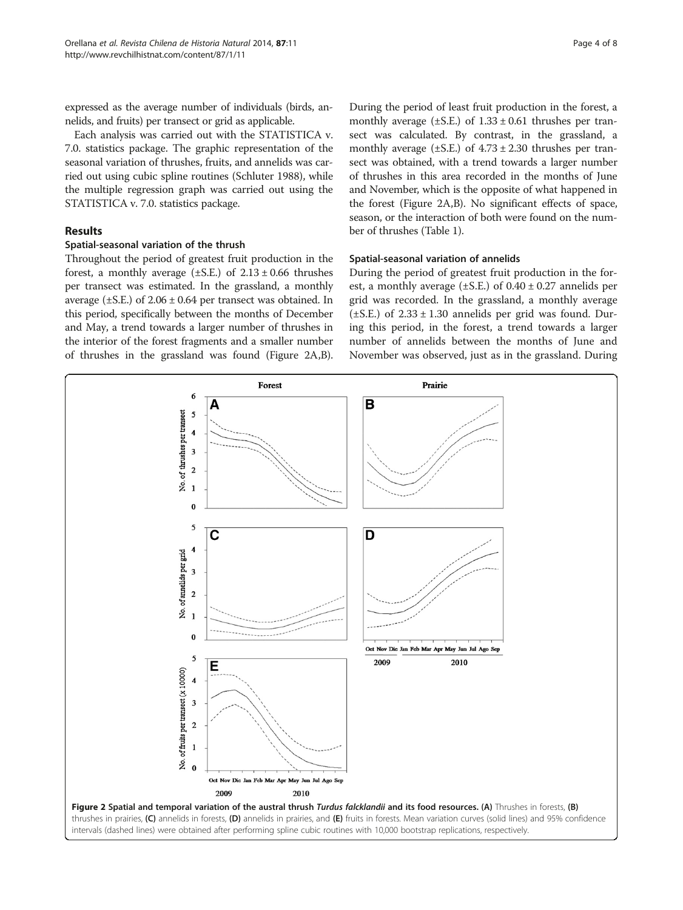<span id="page-3-0"></span>expressed as the average number of individuals (birds, annelids, and fruits) per transect or grid as applicable.

Each analysis was carried out with the STATISTICA v. 7.0. statistics package. The graphic representation of the seasonal variation of thrushes, fruits, and annelids was carried out using cubic spline routines (Schluter [1988](#page-7-0)), while the multiple regression graph was carried out using the STATISTICA v. 7.0. statistics package.

## Results

## Spatial-seasonal variation of the thrush

Throughout the period of greatest fruit production in the forest, a monthly average  $(\pm S.E.)$  of  $2.13 \pm 0.66$  thrushes per transect was estimated. In the grassland, a monthly average ( $\pm$ S.E.) of 2.06  $\pm$  0.64 per transect was obtained. In this period, specifically between the months of December and May, a trend towards a larger number of thrushes in the interior of the forest fragments and a smaller number of thrushes in the grassland was found (Figure 2A,B).

6

5  $\overline{\mathbf{4}}$ 3  $\overline{2}$ ż,  $\mathbf{1}$  $\bf{0}$ 5  $\overline{\mathbf{c}}$ 

 $\overline{\mathbf{4}}$ 

 $\overline{\mathbf{3}}$ 

of thrushes per transect

Forest

During the period of least fruit production in the forest, a monthly average ( $\pm$ S.E.) of 1.33  $\pm$  0.61 thrushes per transect was calculated. By contrast, in the grassland, a monthly average ( $\pm$ S.E.) of 4.73  $\pm$  2.30 thrushes per transect was obtained, with a trend towards a larger number of thrushes in this area recorded in the months of June and November, which is the opposite of what happened in the forest (Figure 2A,B). No significant effects of space, season, or the interaction of both were found on the number of thrushes (Table [1\)](#page-4-0).

## Spatial-seasonal variation of annelids

Prairie

B

D

During the period of greatest fruit production in the forest, a monthly average  $(\pm S.E.)$  of 0.40  $\pm$  0.27 annelids per grid was recorded. In the grassland, a monthly average  $(\pm S.E.)$  of  $2.33 \pm 1.30$  annelids per grid was found. During this period, in the forest, a trend towards a larger number of annelids between the months of June and November was observed, just as in the grassland. During

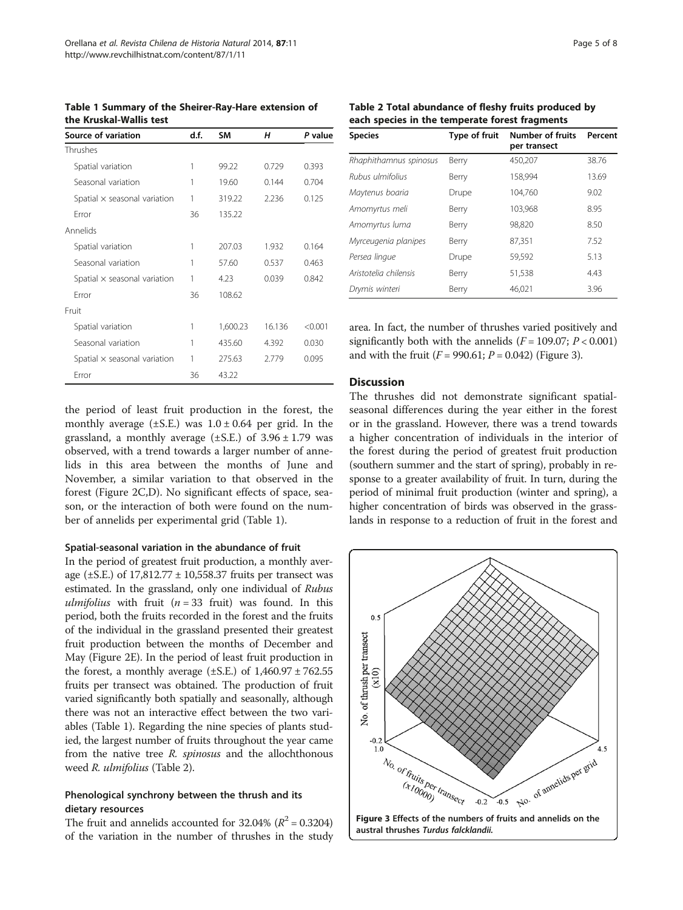| Source of variation                 | d.f. | SΜ       | н      | P value |
|-------------------------------------|------|----------|--------|---------|
| Thrushes                            |      |          |        |         |
| Spatial variation                   | 1    | 99.22    | 0.729  | 0.393   |
| Seasonal variation                  | 1    | 19.60    | 0.144  | 0.704   |
| Spatial $\times$ seasonal variation | 1    | 319.22   | 2.236  | 0.125   |
| Frror                               | 36   | 135.22   |        |         |
| Annelids                            |      |          |        |         |
| Spatial variation                   | 1    | 207.03   | 1.932  | 0.164   |
| Seasonal variation                  | 1    | 57.60    | 0.537  | 0.463   |
| Spatial $\times$ seasonal variation | 1    | 4.23     | 0.039  | 0.842   |
| Error                               | 36   | 108.62   |        |         |
| Fruit                               |      |          |        |         |
| Spatial variation                   | 1    | 1,600.23 | 16.136 | < 0.001 |
| Seasonal variation                  | 1    | 435.60   | 4.392  | 0.030   |
| Spatial $\times$ seasonal variation | 1    | 275.63   | 2.779  | 0.095   |
| Error                               | 36   | 43.22    |        |         |

<span id="page-4-0"></span>Table 1 Summary of the Sheirer-Ray-Hare extension of the Kruskal-Wallis test

the period of least fruit production in the forest, the monthly average  $(\pm S.E.)$  was  $1.0 \pm 0.64$  per grid. In the grassland, a monthly average  $(\pm S.E.)$  of  $3.96 \pm 1.79$  was observed, with a trend towards a larger number of annelids in this area between the months of June and November, a similar variation to that observed in the forest (Figure [2](#page-3-0)C,D). No significant effects of space, season, or the interaction of both were found on the number of annelids per experimental grid (Table 1).

#### Spatial-seasonal variation in the abundance of fruit

In the period of greatest fruit production, a monthly average ( $\pm$ S.E.) of 17,812.77  $\pm$  10,558.37 fruits per transect was estimated. In the grassland, only one individual of Rubus ulmifolius with fruit ( $n = 33$  fruit) was found. In this period, both the fruits recorded in the forest and the fruits of the individual in the grassland presented their greatest fruit production between the months of December and May (Figure [2E](#page-3-0)). In the period of least fruit production in the forest, a monthly average  $(\pm S.E.)$  of 1,460.97  $\pm$  762.55 fruits per transect was obtained. The production of fruit varied significantly both spatially and seasonally, although there was not an interactive effect between the two variables (Table 1). Regarding the nine species of plants studied, the largest number of fruits throughout the year came from the native tree R. spinosus and the allochthonous weed R. ulmifolius (Table 2).

## Phenological synchrony between the thrush and its dietary resources

The fruit and annelids accounted for 32.04% ( $R^2$  = 0.3204) of the variation in the number of thrushes in the study

Table 2 Total abundance of fleshy fruits produced by each species in the temperate forest fragments

| <b>Species</b>         | Type of fruit | Number of fruits<br>per transect | Percent |
|------------------------|---------------|----------------------------------|---------|
| Rhaphithamnus spinosus | Berry         | 450,207                          | 38.76   |
| Rubus ulmifolius       | Berry         | 158.994                          | 13.69   |
| Maytenus boaria        | Drupe         | 104.760                          | 9.02    |
| Amomyrtus meli         | Berry         | 103,968                          | 8.95    |
| Amomyrtus luma         | Berry         | 98,820                           | 8.50    |
| Myrceugenia planipes   | Berry         | 87,351                           | 7.52    |
| Persea lingue          | Drupe         | 59,592                           | 5.13    |
| Aristotelia chilensis  | Berry         | 51,538                           | 4.43    |
| Drymis winteri         | Berry         | 46,021                           | 3.96    |

area. In fact, the number of thrushes varied positively and significantly both with the annelids  $(F = 109.07; P < 0.001)$ and with the fruit  $(F = 990.61; P = 0.042)$  (Figure 3).

## **Discussion**

The thrushes did not demonstrate significant spatialseasonal differences during the year either in the forest or in the grassland. However, there was a trend towards a higher concentration of individuals in the interior of the forest during the period of greatest fruit production (southern summer and the start of spring), probably in response to a greater availability of fruit. In turn, during the period of minimal fruit production (winter and spring), a higher concentration of birds was observed in the grasslands in response to a reduction of fruit in the forest and

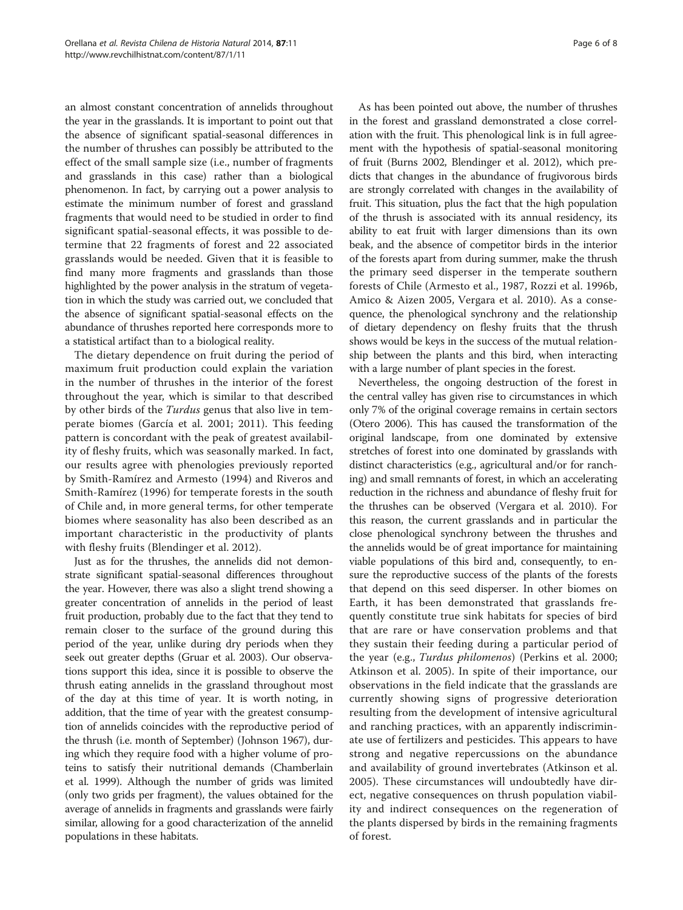an almost constant concentration of annelids throughout the year in the grasslands. It is important to point out that the absence of significant spatial-seasonal differences in the number of thrushes can possibly be attributed to the effect of the small sample size (i.e., number of fragments and grasslands in this case) rather than a biological phenomenon. In fact, by carrying out a power analysis to estimate the minimum number of forest and grassland fragments that would need to be studied in order to find significant spatial-seasonal effects, it was possible to determine that 22 fragments of forest and 22 associated grasslands would be needed. Given that it is feasible to find many more fragments and grasslands than those highlighted by the power analysis in the stratum of vegetation in which the study was carried out, we concluded that the absence of significant spatial-seasonal effects on the abundance of thrushes reported here corresponds more to a statistical artifact than to a biological reality.

The dietary dependence on fruit during the period of maximum fruit production could explain the variation in the number of thrushes in the interior of the forest throughout the year, which is similar to that described by other birds of the Turdus genus that also live in temperate biomes (García et al. [2001](#page-6-0); [2011\)](#page-6-0). This feeding pattern is concordant with the peak of greatest availability of fleshy fruits, which was seasonally marked. In fact, our results agree with phenologies previously reported by Smith-Ramírez and Armesto [\(1994\)](#page-7-0) and Riveros and Smith-Ramírez [\(1996](#page-7-0)) for temperate forests in the south of Chile and, in more general terms, for other temperate biomes where seasonality has also been described as an important characteristic in the productivity of plants with fleshy fruits (Blendinger et al. [2012\)](#page-6-0).

Just as for the thrushes, the annelids did not demonstrate significant spatial-seasonal differences throughout the year. However, there was also a slight trend showing a greater concentration of annelids in the period of least fruit production, probably due to the fact that they tend to remain closer to the surface of the ground during this period of the year, unlike during dry periods when they seek out greater depths (Gruar et al. [2003\)](#page-6-0). Our observations support this idea, since it is possible to observe the thrush eating annelids in the grassland throughout most of the day at this time of year. It is worth noting, in addition, that the time of year with the greatest consumption of annelids coincides with the reproductive period of the thrush (i.e. month of September) (Johnson [1967](#page-7-0)), during which they require food with a higher volume of proteins to satisfy their nutritional demands (Chamberlain et al. [1999](#page-6-0)). Although the number of grids was limited (only two grids per fragment), the values obtained for the average of annelids in fragments and grasslands were fairly similar, allowing for a good characterization of the annelid populations in these habitats.

As has been pointed out above, the number of thrushes in the forest and grassland demonstrated a close correlation with the fruit. This phenological link is in full agreement with the hypothesis of spatial-seasonal monitoring of fruit (Burns [2002,](#page-6-0) Blendinger et al. [2012\)](#page-6-0), which predicts that changes in the abundance of frugivorous birds are strongly correlated with changes in the availability of fruit. This situation, plus the fact that the high population of the thrush is associated with its annual residency, its ability to eat fruit with larger dimensions than its own beak, and the absence of competitor birds in the interior of the forests apart from during summer, make the thrush the primary seed disperser in the temperate southern forests of Chile (Armesto et al., [1987,](#page-6-0) Rozzi et al. [1996b](#page-7-0), Amico & Aizen [2005](#page-6-0), Vergara et al. [2010\)](#page-7-0). As a consequence, the phenological synchrony and the relationship of dietary dependency on fleshy fruits that the thrush shows would be keys in the success of the mutual relationship between the plants and this bird, when interacting with a large number of plant species in the forest.

Nevertheless, the ongoing destruction of the forest in the central valley has given rise to circumstances in which only 7% of the original coverage remains in certain sectors (Otero [2006\)](#page-7-0). This has caused the transformation of the original landscape, from one dominated by extensive stretches of forest into one dominated by grasslands with distinct characteristics (e.g., agricultural and/or for ranching) and small remnants of forest, in which an accelerating reduction in the richness and abundance of fleshy fruit for the thrushes can be observed (Vergara et al. [2010](#page-7-0)). For this reason, the current grasslands and in particular the close phenological synchrony between the thrushes and the annelids would be of great importance for maintaining viable populations of this bird and, consequently, to ensure the reproductive success of the plants of the forests that depend on this seed disperser. In other biomes on Earth, it has been demonstrated that grasslands frequently constitute true sink habitats for species of bird that are rare or have conservation problems and that they sustain their feeding during a particular period of the year (e.g., Turdus philomenos) (Perkins et al. [2000](#page-7-0); Atkinson et al. [2005\)](#page-6-0). In spite of their importance, our observations in the field indicate that the grasslands are currently showing signs of progressive deterioration resulting from the development of intensive agricultural and ranching practices, with an apparently indiscriminate use of fertilizers and pesticides. This appears to have strong and negative repercussions on the abundance and availability of ground invertebrates (Atkinson et al. [2005\)](#page-6-0). These circumstances will undoubtedly have direct, negative consequences on thrush population viability and indirect consequences on the regeneration of the plants dispersed by birds in the remaining fragments of forest.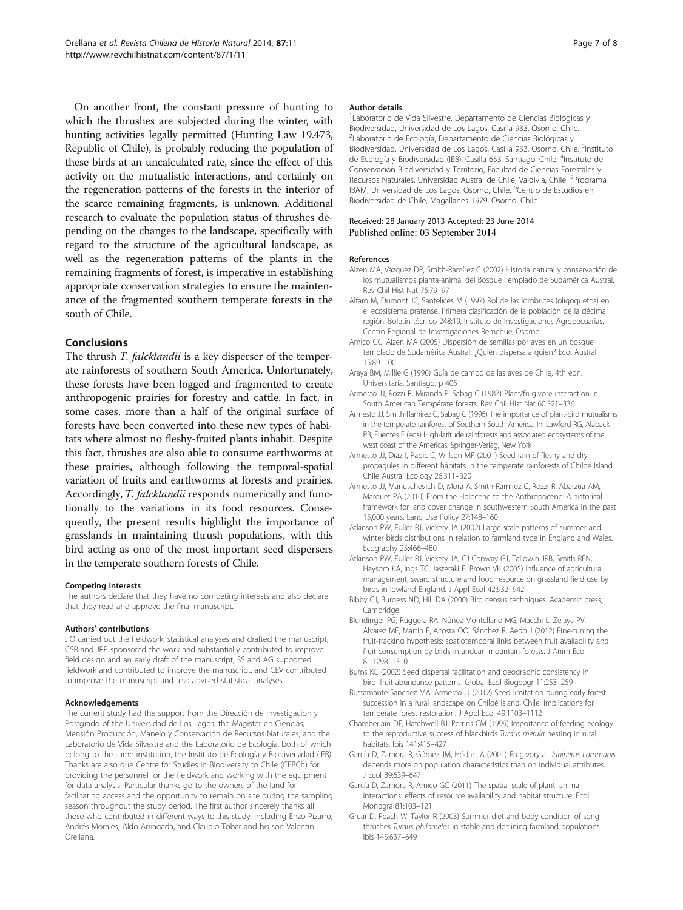<span id="page-6-0"></span>On another front, the constant pressure of hunting to which the thrushes are subjected during the winter, with hunting activities legally permitted (Hunting Law 19.473, Republic of Chile), is probably reducing the population of these birds at an uncalculated rate, since the effect of this activity on the mutualistic interactions, and certainly on the regeneration patterns of the forests in the interior of the scarce remaining fragments, is unknown. Additional research to evaluate the population status of thrushes depending on the changes to the landscape, specifically with regard to the structure of the agricultural landscape, as well as the regeneration patterns of the plants in the remaining fragments of forest, is imperative in establishing appropriate conservation strategies to ensure the maintenance of the fragmented southern temperate forests in the south of Chile.

## Conclusions

The thrush T. falcklandii is a key disperser of the temperate rainforests of southern South America. Unfortunately, these forests have been logged and fragmented to create anthropogenic prairies for forestry and cattle. In fact, in some cases, more than a half of the original surface of forests have been converted into these new types of habitats where almost no fleshy-fruited plants inhabit. Despite this fact, thrushes are also able to consume earthworms at these prairies, although following the temporal-spatial variation of fruits and earthworms at forests and prairies. Accordingly, T. falcklandii responds numerically and functionally to the variations in its food resources. Consequently, the present results highlight the importance of grasslands in maintaining thrush populations, with this bird acting as one of the most important seed dispersers in the temperate southern forests of Chile.

#### Competing interests

The authors declare that they have no competing interests and also declare that they read and approve the final manuscript.

#### Authors' contributions

JIO carried out the fieldwork, statistical analyses and drafted the manuscript, CSR and JRR sponsored the work and substantially contributed to improve field design and an early draft of the manuscript, SS and AG supported fieldwork and contributed to improve the manuscript, and CEV contributed to improve the manuscript and also advised statistical analyses.

#### Acknowledgements

The current study had the support from the Dirección de Investigacion y Postgrado of the Universidad de Los Lagos, the Magister en Ciencias, Mensión Producción, Manejo y Conservación de Recursos Naturales, and the Laboratorio de Vida Silvestre and the Laboratorio de Ecología, both of which belong to the same institution, the Instituto de Ecología y Biodiversidad (IEB). Thanks are also due Centre for Studies in Biodiversity to Chile (CEBCh) for providing the personnel for the fieldwork and working with the equipment for data analysis. Particular thanks go to the owners of the land for facilitating access and the opportunity to remain on site during the sampling season throughout the study period. The first author sincerely thanks all those who contributed in different ways to this study, including Enzo Pizarro, Andrés Morales, Aldo Arriagada, and Claudio Tobar and his son Valentín Orellana.

#### Author details

<sup>1</sup> Laboratorio de Vida Silvestre, Departamento de Ciencias Biológicas y Biodiversidad, Universidad de Los Lagos, Casilla 933, Osorno, Chile. 2 Laboratorio de Ecología, Departamento de Ciencias Biológicas y Biodiversidad, Universidad de Los Lagos, Casilla 933, Osorno, Chile. <sup>3</sup>Instituto de Ecología y Biodiversidad (IEB), Casilla 653, Santiago, Chile. <sup>4</sup>Instituto de Conservación Biodiversidad y Territorio, Facultad de Ciencias Forestales y Recursos Naturales, Universidad Austral de Chile, Valdivia, Chile. <sup>5</sup>Programa IBAM, Universidad de Los Lagos, Osorno, Chile. <sup>6</sup>Centro de Estudios en Biodiversidad de Chile, Magallanes 1979, Osorno, Chile.

#### Received: 28 January 2013 Accepted: 23 June 2014 Published online: 03 September 2014

#### References

- Aizen MA, Vázquez DP, Smith-Ramírez C (2002) Historia natural y conservación de los mutualismos planta-animal del Bosque Templado de Sudamérica Austral. Rev Chil Hist Nat 75:79–97
- Alfaro M, Dumont JC, Santelices M (1997) Rol de las lombrices (oligoquetos) en el ecosistema pratense. Primera clasificación de la población de la décima región. Boletín técnico 248:19, Instituto de Investigaciones Agropecuarias. Centro Regional de Investigaciones Remehue, Osorno
- Amico GC, Aizen MA (2005) Dispersión de semillas por aves en un bosque templado de Sudamérica Austral: ¿Quién dispersa a quién? Ecol Austral 15:89–100
- Araya BM, Millie G (1996) Guía de campo de las aves de Chile, 4th edn. Universitaria, Santiago, p 405
- Armesto JJ, Rozzi R, Miranda P, Sabag C (1987) Plant/frugivore interaction in South American Températe forests. Rev Chil Hist Nat 60:321–336
- Armesto JJ, Smith-Ramírez C, Sabag C (1996) The importance of plant-bird mutualisms in the temperate rainforest of Southern South America. In: Lawford RG, Alaback PB, Fuentes E (eds) High-latitude rainforests and associated ecosystems of the west coast of the Americas. Springer-Verlag, New York
- Armesto JJ, Díaz I, Papic C, Willson MF (2001) Seed rain of fleshy and dry propagules in different hábitats in the temperate rainforests of Chiloé Island. Chile Austral Ecology 26:311–320
- Armesto JJ, Manuschevich D, Mora A, Smith-Ramirez C, Rozzi R, Abarzúa AM, Marquet PA (2010) From the Holocene to the Anthropocene: A historical framework for land cover change in southwestern South America in the past 15,000 years. Land Use Policy 27:148–160
- Atkinson PW, Fuller RJ, Vickery JA (2002) Large scale patterns of summer and winter birds distributions in relation to farmland type in England and Wales. Ecography 25:466–480
- Atkinson PW, Fuller RJ, Vickery JA, CJ Conway GJ, Tallowin JRB, Smith REN, Haysom KA, Ings TC, Jasteraki E, Brown VK (2005) Influence of agricultural management, sward structure and food resource on grassland field use by birds in lowland England. J Appl Ecol 42:932–942
- Bibby CJ, Burgess ND, Hill DA (2000) Bird census techniques. Academic press, Cambridge
- Blendinger PG, Ruggera RA, Núñez-Montellano MG, Macchi L, Zelaya PV, Álvarez ME, Martín E, Acosta OO, Sánchez R, Aedo J (2012) Fine-tuning the fruit-tracking hypothesis: spatiotemporal links between fruit availability and fruit consumption by birds in andean mountain forests. J Anim Ecol 81:1298–1310
- Burns KC (2002) Seed dispersal facilitation and geographic consistency in bird–fruit abundance patterns. Global Ecol Biogeogr 11:253–259
- Bustamante-Sanchez MA, Armesto JJ (2012) Seed limitation during early forest succession in a rural landscape on Chiloé Island, Chile: implications for temperate forest restoration. J Appl Ecol 49:1103–1112
- Chamberlain DE, Hatchwell BJ, Perrins CM (1999) Importance of feeding ecology to the reproductive success of blackbirds Turdus merula nesting in rural habitats. Ibis 141:415–427
- García D, Zamora R, Gómez JM, Hódar JA (2001) Frugivory at Juniperus communis depends more on population characteristics than on individual attributes. J Ecol 89:639–647
- García D, Zamora R, Amico GC (2011) The spatial scale of plant–animal interactions: effects of resource availability and habitat structure. Ecol Monogra 81:103–121
- Gruar D, Peach W, Taylor R (2003) Summer diet and body condition of song thrushes Turdus philomelos in stable and declining farmland populations. Ibis 145:637–649